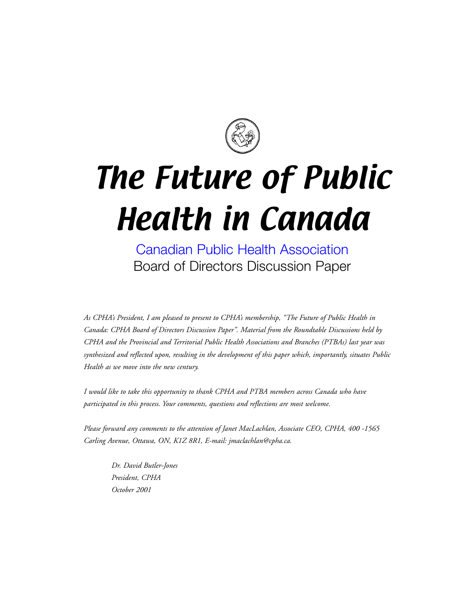

# The Future of Public Health in Canada

[Canadian Public Health Association](http://www.cpha.ca) Board of Directors Discussion Paper

*As CPHA's President, I am pleased to present to CPHA's membership, "The Future of Public Health in Canada: CPHA Board of Directors Discussion Paper". Material from the Roundtable Discussions held by CPHA and the Provincial and Territorial Public Health Associations and Branches (PTBAs) last year was synthesized and reflected upon, resulting in the development of this paper which, importantly, situates Public Health as we move into the new century.* 

*I would like to take this opportunity to thank CPHA and PTBA members across Canada who have participated in this process. Your comments, questions and reflections are most welcome.*

*Please forward any comments to the attention of Janet MacLachlan, Associate CEO, CPHA, 400 -1565 Carling Avenue, Ottawa, ON, K1Z 8R1, E-mail: jmaclachlan@cpha.ca.*

*Dr. David Butler-Jones President, CPHA October 2001*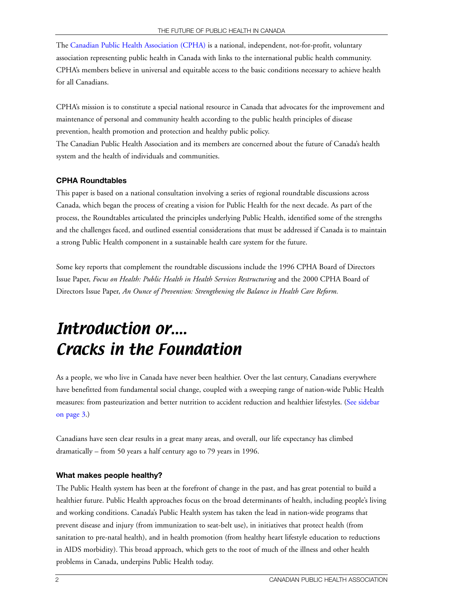The [Canadian Public Health Association \(CPHA\)](http://www.cpha.ca) is a national, independent, not-for-profit, voluntary association representing public health in Canada with links to the international public health community. CPHA's members believe in universal and equitable access to the basic conditions necessary to achieve health for all Canadians.

CPHA's mission is to constitute a special national resource in Canada that advocates for the improvement and maintenance of personal and community health according to the public health principles of disease prevention, health promotion and protection and healthy public policy.

The Canadian Public Health Association and its members are concerned about the future of Canada's health system and the health of individuals and communities.

#### **CPHA Roundtables**

This paper is based on a national consultation involving a series of regional roundtable discussions across Canada, which began the process of creating a vision for Public Health for the next decade. As part of the process, the Roundtables articulated the principles underlying Public Health, identified some of the strengths and the challenges faced, and outlined essential considerations that must be addressed if Canada is to maintain a strong Public Health component in a sustainable health care system for the future.

Some key reports that complement the roundtable discussions include the 1996 CPHA Board of Directors Issue Paper, *Focus on Health: Public Health in Health Services Restructuring* and the 2000 CPHA Board of Directors Issue Paper, *An Ounce of Prevention: Strengthening the Balance in Health Care Reform.*

# Introduction or.... Cracks in the Foundation

As a people, we who live in Canada have never been healthier. Over the last century, Canadians everywhere have benefitted from fundamental social change, coupled with a sweeping range of nation-wide Public Health measures: from pasteurization and better nutrition to accident reduction and healthier lifestyles. ([See sidebar](#page-2-0) [on page 3.\)](#page-2-0) 

Canadians have seen clear results in a great many areas, and overall, our life expectancy has climbed dramatically – from 50 years a half century ago to 79 years in 1996.

#### **What makes people healthy?**

The Public Health system has been at the forefront of change in the past, and has great potential to build a healthier future. Public Health approaches focus on the broad determinants of health, including people's living and working conditions. Canada's Public Health system has taken the lead in nation-wide programs that prevent disease and injury (from immunization to seat-belt use), in initiatives that protect health (from sanitation to pre-natal health), and in health promotion (from healthy heart lifestyle education to reductions in AIDS morbidity). This broad approach, which gets to the root of much of the illness and other health problems in Canada, underpins Public Health today.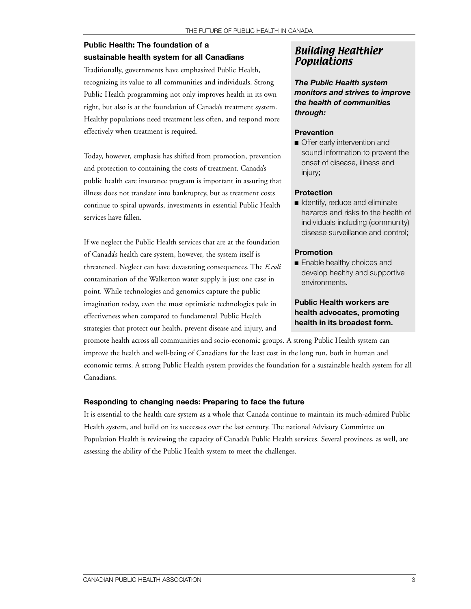### <span id="page-2-0"></span>**Public Health: The foundation of a sustainable health system for all Canadians**

Traditionally, governments have emphasized Public Health, recognizing its value to all communities and individuals. Strong Public Health programming not only improves health in its own right, but also is at the foundation of Canada's treatment system. Healthy populations need treatment less often, and respond more effectively when treatment is required.

Today, however, emphasis has shifted from promotion, prevention and protection to containing the costs of treatment. Canada's public health care insurance program is important in assuring that illness does not translate into bankruptcy, but as treatment costs continue to spiral upwards, investments in essential Public Health services have fallen.

If we neglect the Public Health services that are at the foundation of Canada's health care system, however, the system itself is threatened. Neglect can have devastating consequences. The *E.coli* contamination of the Walkerton water supply is just one case in point. While technologies and genomics capture the public imagination today, even the most optimistic technologies pale in effectiveness when compared to fundamental Public Health strategies that protect our health, prevent disease and injury, and

### Building Healthier Populations

*The Public Health system monitors and strives to improve the health of communities through:*

#### **Prevention**

■ Offer early intervention and sound information to prevent the onset of disease, illness and injury;

#### **Protection**

■ Identify, reduce and eliminate hazards and risks to the health of individuals including (community) disease surveillance and control;

#### **Promotion**

■ Enable healthy choices and develop healthy and supportive environments.

#### **Public Health workers are health advocates, promoting health in its broadest form.**

promote health across all communities and socio-economic groups. A strong Public Health system can improve the health and well-being of Canadians for the least cost in the long run, both in human and economic terms. A strong Public Health system provides the foundation for a sustainable health system for all Canadians.

#### **Responding to changing needs: Preparing to face the future**

It is essential to the health care system as a whole that Canada continue to maintain its much-admired Public Health system, and build on its successes over the last century. The national Advisory Committee on Population Health is reviewing the capacity of Canada's Public Health services. Several provinces, as well, are assessing the ability of the Public Health system to meet the challenges.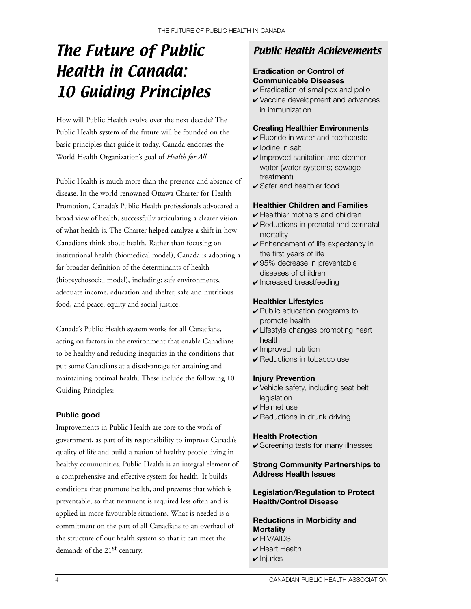# The Future of Public Health in Canada: 10 Guiding Principles

How will Public Health evolve over the next decade? The Public Health system of the future will be founded on the basic principles that guide it today. Canada endorses the World Health Organization's goal of *Health for All*.

Public Health is much more than the presence and absence of disease. In the world-renowned Ottawa Charter for Health Promotion, Canada's Public Health professionals advocated a broad view of health, successfully articulating a clearer vision of what health is. The Charter helped catalyze a shift in how Canadians think about health. Rather than focusing on institutional health (biomedical model), Canada is adopting a far broader definition of the determinants of health (biopsychosocial model), including: safe environments, adequate income, education and shelter, safe and nutritious food, and peace, equity and social justice.

Canada's Public Health system works for all Canadians, acting on factors in the environment that enable Canadians to be healthy and reducing inequities in the conditions that put some Canadians at a disadvantage for attaining and maintaining optimal health. These include the following 10 Guiding Principles:

#### **Public good**

Improvements in Public Health are core to the work of government, as part of its responsibility to improve Canada's quality of life and build a nation of healthy people living in healthy communities. Public Health is an integral element of a comprehensive and effective system for health. It builds conditions that promote health, and prevents that which is preventable, so that treatment is required less often and is applied in more favourable situations. What is needed is a commitment on the part of all Canadians to an overhaul of the structure of our health system so that it can meet the demands of the 21<sup>st</sup> century.

### Public Health Achievements

#### **Eradication or Control of Communicable Diseases**

- ✔ Eradication of smallpox and polio
- ✔ Vaccine development and advances in immunization

#### **Creating Healthier Environments**

- $\checkmark$  Fluoride in water and toothpaste
- $\boldsymbol{\nu}$  lodine in salt
- $\sqrt{}$  Improved sanitation and cleaner water (water systems; sewage treatment)
- ✔ Safer and healthier food

#### **Healthier Children and Families**

- $\vee$  Healthier mothers and children
- $\triangleright$  Reductions in prenatal and perinatal mortality
- $\checkmark$  Enhancement of life expectancy in the first years of life
- ✔ 95% decrease in preventable diseases of children
- $\checkmark$  Increased breastfeeding

#### **Healthier Lifestyles**

- ✔ Public education programs to promote health
- ✔ Lifestyle changes promoting heart health
- $\boldsymbol{\nu}$  Improved nutrition
- $\sqrt{\ }$  Reductions in tobacco use

#### **Injury Prevention**

- ✔ Vehicle safety, including seat belt legislation
- ✔ Helmet use
- $\vee$  Reductions in drunk driving

#### **Health Protection**

 $\checkmark$  Screening tests for many illnesses

#### **Strong Community Partnerships to Address Health Issues**

#### **Legislation/Regulation to Protect Health/Control Disease**

**Reductions in Morbidity and Mortality**  $\nu$  HIV/AIDS

- $\checkmark$  Heart Health
- $\boldsymbol{\nu}$  Injuries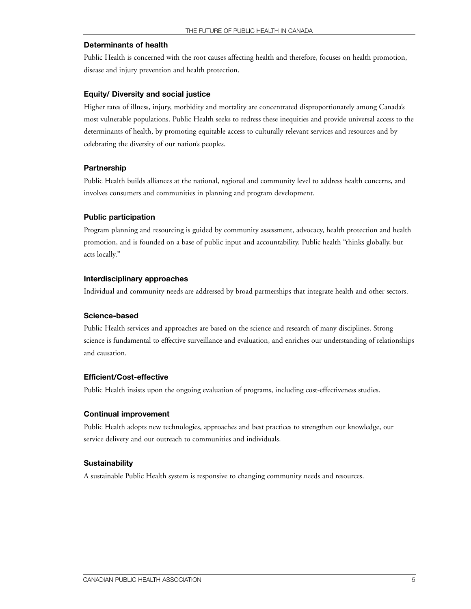#### **Determinants of health**

Public Health is concerned with the root causes affecting health and therefore, focuses on health promotion, disease and injury prevention and health protection.

#### **Equity/ Diversity and social justice**

Higher rates of illness, injury, morbidity and mortality are concentrated disproportionately among Canada's most vulnerable populations. Public Health seeks to redress these inequities and provide universal access to the determinants of health, by promoting equitable access to culturally relevant services and resources and by celebrating the diversity of our nation's peoples.

#### **Partnership**

Public Health builds alliances at the national, regional and community level to address health concerns, and involves consumers and communities in planning and program development.

#### **Public participation**

Program planning and resourcing is guided by community assessment, advocacy, health protection and health promotion, and is founded on a base of public input and accountability. Public health "thinks globally, but acts locally."

#### **Interdisciplinary approaches**

Individual and community needs are addressed by broad partnerships that integrate health and other sectors.

#### **Science-based**

Public Health services and approaches are based on the science and research of many disciplines. Strong science is fundamental to effective surveillance and evaluation, and enriches our understanding of relationships and causation.

#### **Efficient/Cost-effective**

Public Health insists upon the ongoing evaluation of programs, including cost-effectiveness studies.

#### **Continual improvement**

Public Health adopts new technologies, approaches and best practices to strengthen our knowledge, our service delivery and our outreach to communities and individuals.

#### **Sustainability**

A sustainable Public Health system is responsive to changing community needs and resources.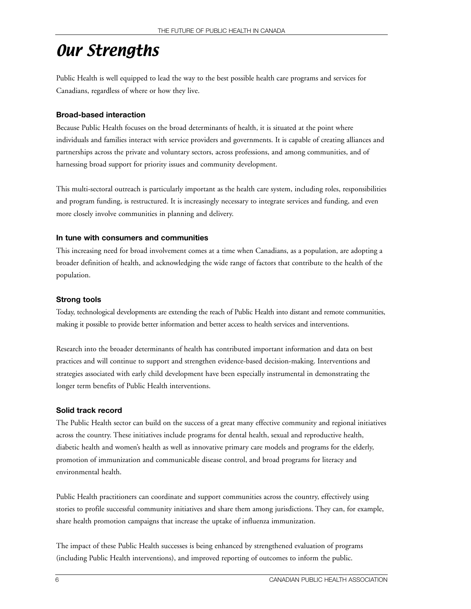## Our Strengths

Public Health is well equipped to lead the way to the best possible health care programs and services for Canadians, regardless of where or how they live.

#### **Broad-based interaction**

Because Public Health focuses on the broad determinants of health, it is situated at the point where individuals and families interact with service providers and governments. It is capable of creating alliances and partnerships across the private and voluntary sectors, across professions, and among communities, and of harnessing broad support for priority issues and community development.

This multi-sectoral outreach is particularly important as the health care system, including roles, responsibilities and program funding, is restructured. It is increasingly necessary to integrate services and funding, and even more closely involve communities in planning and delivery.

#### **In tune with consumers and communities**

This increasing need for broad involvement comes at a time when Canadians, as a population, are adopting a broader definition of health, and acknowledging the wide range of factors that contribute to the health of the population.

#### **Strong tools**

Today, technological developments are extending the reach of Public Health into distant and remote communities, making it possible to provide better information and better access to health services and interventions.

Research into the broader determinants of health has contributed important information and data on best practices and will continue to support and strengthen evidence-based decision-making. Interventions and strategies associated with early child development have been especially instrumental in demonstrating the longer term benefits of Public Health interventions.

#### **Solid track record**

The Public Health sector can build on the success of a great many effective community and regional initiatives across the country. These initiatives include programs for dental health, sexual and reproductive health, diabetic health and women's health as well as innovative primary care models and programs for the elderly, promotion of immunization and communicable disease control, and broad programs for literacy and environmental health.

Public Health practitioners can coordinate and support communities across the country, effectively using stories to profile successful community initiatives and share them among jurisdictions. They can, for example, share health promotion campaigns that increase the uptake of influenza immunization.

The impact of these Public Health successes is being enhanced by strengthened evaluation of programs (including Public Health interventions), and improved reporting of outcomes to inform the public.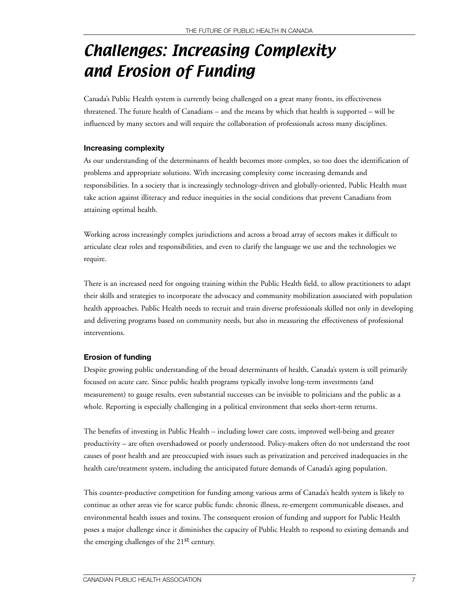# Challenges: Increasing Complexity and Erosion of Funding

Canada's Public Health system is currently being challenged on a great many fronts, its effectiveness threatened. The future health of Canadians – and the means by which that health is supported – will be influenced by many sectors and will require the collaboration of professionals across many disciplines.

#### **Increasing complexity**

As our understanding of the determinants of health becomes more complex, so too does the identification of problems and appropriate solutions. With increasing complexity come increasing demands and responsibilities. In a society that is increasingly technology-driven and globally-oriented, Public Health must take action against illiteracy and reduce inequities in the social conditions that prevent Canadians from attaining optimal health.

Working across increasingly complex jurisdictions and across a broad array of sectors makes it difficult to articulate clear roles and responsibilities, and even to clarify the language we use and the technologies we require.

There is an increased need for ongoing training within the Public Health field, to allow practitioners to adapt their skills and strategies to incorporate the advocacy and community mobilization associated with population health approaches. Public Health needs to recruit and train diverse professionals skilled not only in developing and delivering programs based on community needs, but also in measuring the effectiveness of professional interventions.

#### **Erosion of funding**

Despite growing public understanding of the broad determinants of health, Canada's system is still primarily focused on acute care. Since public health programs typically involve long-term investments (and measurement) to gauge results, even substantial successes can be invisible to politicians and the public as a whole. Reporting is especially challenging in a political environment that seeks short-term returns.

The benefits of investing in Public Health – including lower care costs, improved well-being and greater productivity – are often overshadowed or poorly understood. Policy-makers often do not understand the root causes of poor health and are preoccupied with issues such as privatization and perceived inadequacies in the health care/treatment system, including the anticipated future demands of Canada's aging population.

This counter-productive competition for funding among various arms of Canada's health system is likely to continue as other areas vie for scarce public funds: chronic illness, re-emergent communicable diseases, and environmental health issues and toxins. The consequent erosion of funding and support for Public Health poses a major challenge since it diminishes the capacity of Public Health to respond to existing demands and the emerging challenges of the 21<sup>st</sup> century.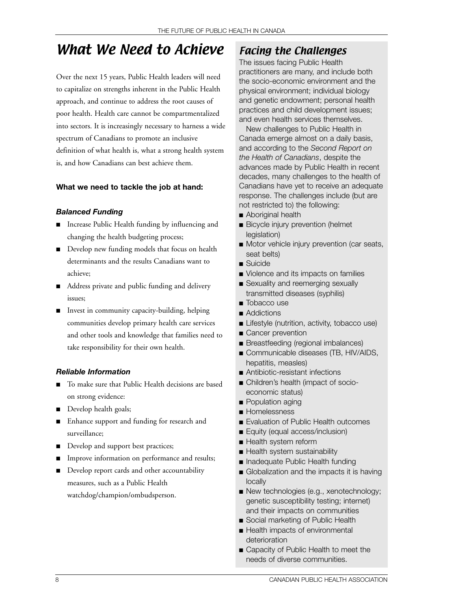### What We Need to Achieve

Over the next 15 years, Public Health leaders will need to capitalize on strengths inherent in the Public Health approach, and continue to address the root causes of poor health. Health care cannot be compartmentalized into sectors. It is increasingly necessary to harness a wide spectrum of Canadians to promote an inclusive definition of what health is, what a strong health system is, and how Canadians can best achieve them.

#### **What we need to tackle the job at hand:**

#### *Balanced Funding*

- Increase Public Health funding by influencing and changing the health budgeting process;
- Develop new funding models that focus on health determinants and the results Canadians want to achieve;
- Address private and public funding and delivery issues;
- Invest in community capacity-building, helping communities develop primary health care services and other tools and knowledge that families need to take responsibility for their own health.

#### *Reliable Information*

- To make sure that Public Health decisions are based on strong evidence:
- Develop health goals;
- Enhance support and funding for research and surveillance;
- Develop and support best practices;
- Improve information on performance and results;
- Develop report cards and other accountability measures, such as a Public Health watchdog/champion/ombudsperson.

### Facing the Challenges

The issues facing Public Health practitioners are many, and include both the socio-economic environment and the physical environment; individual biology and genetic endowment; personal health practices and child development issues; and even health services themselves.

New challenges to Public Health in Canada emerge almost on a daily basis, and according to the *Second Report on the Health of Canadians*, despite the advances made by Public Health in recent decades, many challenges to the health of Canadians have yet to receive an adequate response. The challenges include (but are not restricted to) the following:

- Aboriginal health
- Bicycle injury prevention (helmet legislation)
- Motor vehicle injury prevention (car seats, seat belts)
- Suicide
- Violence and its impacts on families
- Sexuality and reemerging sexually transmitted diseases (syphilis)
- Tobacco use
- Addictions
- Lifestyle (nutrition, activity, tobacco use)
- Cancer prevention
- Breastfeeding (regional imbalances)
- Communicable diseases (TB, HIV/AIDS, hepatitis, measles)
- Antibiotic-resistant infections
- Children's health (impact of socioeconomic status)
- Population aging
- Homelessness
- Evaluation of Public Health outcomes
- Equity (equal access/inclusion)
- Health system reform
- Health system sustainability
- Inadequate Public Health funding
- Globalization and the impacts it is having locally
- New technologies (e.g., xenotechnology; genetic susceptibility testing; internet) and their impacts on communities
- Social marketing of Public Health
- Health impacts of environmental deterioration
- Capacity of Public Health to meet the needs of diverse communities.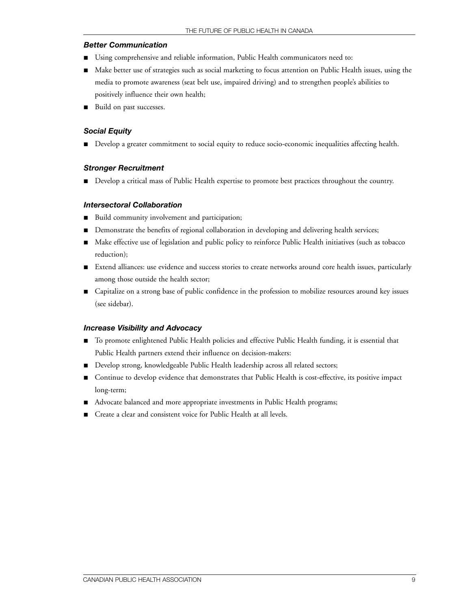#### *Better Communication*

- Using comprehensive and reliable information, Public Health communicators need to:
- Make better use of strategies such as social marketing to focus attention on Public Health issues, using the media to promote awareness (seat belt use, impaired driving) and to strengthen people's abilities to positively influence their own health;
- Build on past successes.

#### *Social Equity*

■ Develop a greater commitment to social equity to reduce socio-economic inequalities affecting health.

#### *Stronger Recruitment*

■ Develop a critical mass of Public Health expertise to promote best practices throughout the country.

#### *Intersectoral Collaboration*

- Build community involvement and participation;
- Demonstrate the benefits of regional collaboration in developing and delivering health services;
- Make effective use of legislation and public policy to reinforce Public Health initiatives (such as tobacco reduction);
- Extend alliances: use evidence and success stories to create networks around core health issues, particularly among those outside the health sector;
- Capitalize on a strong base of public confidence in the profession to mobilize resources around key issues (see sidebar).

#### *Increase Visibility and Advocacy*

- To promote enlightened Public Health policies and effective Public Health funding, it is essential that Public Health partners extend their influence on decision-makers:
- Develop strong, knowledgeable Public Health leadership across all related sectors;
- Continue to develop evidence that demonstrates that Public Health is cost-effective, its positive impact long-term;
- Advocate balanced and more appropriate investments in Public Health programs;
- Create a clear and consistent voice for Public Health at all levels.